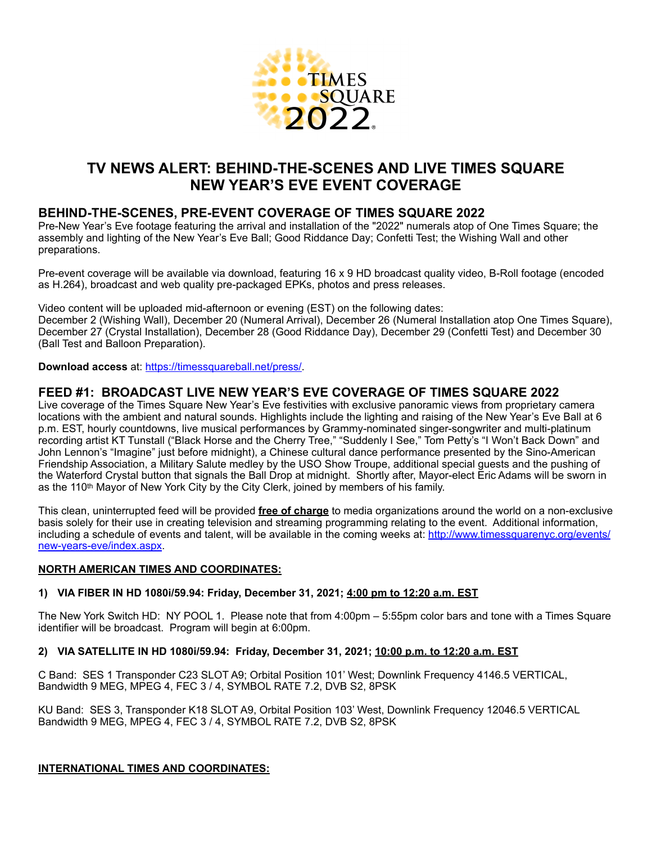

# **TV NEWS ALERT: BEHIND-THE-SCENES AND LIVE TIMES SQUARE NEW YEAR'S EVE EVENT COVERAGE**

## **BEHIND-THE-SCENES, PRE-EVENT COVERAGE OF TIMES SQUARE 2022**

Pre-New Year's Eve footage featuring the arrival and installation of the "2022" numerals atop of One Times Square; the assembly and lighting of the New Year's Eve Ball; Good Riddance Day; Confetti Test; the Wishing Wall and other preparations.

Pre-event coverage will be available via download, featuring 16 x 9 HD broadcast quality video, B-Roll footage (encoded as H.264), broadcast and web quality pre-packaged EPKs, photos and press releases.

Video content will be uploaded mid-afternoon or evening (EST) on the following dates: December 2 (Wishing Wall), December 20 (Numeral Arrival), December 26 (Numeral Installation atop One Times Square), December 27 (Crystal Installation), December 28 (Good Riddance Day), December 29 (Confetti Test) and December 30 (Ball Test and Balloon Preparation).

**Download access** at: <https://timessquareball.net/press/>.

## **FEED #1: BROADCAST LIVE NEW YEAR'S EVE COVERAGE OF TIMES SQUARE 2022**

Live coverage of the Times Square New Year's Eve festivities with exclusive panoramic views from proprietary camera locations with the ambient and natural sounds. Highlights include the lighting and raising of the New Year's Eve Ball at 6 p.m. EST, hourly countdowns, live musical performances by Grammy-nominated singer-songwriter and multi-platinum recording artist KT Tunstall ("Black Horse and the Cherry Tree," "Suddenly I See," Tom Petty's "I Won't Back Down" and John Lennon's "Imagine" just before midnight), a Chinese cultural dance performance presented by the Sino-American Friendship Association, a Military Salute medley by the USO Show Troupe, additional special guests and the pushing of the Waterford Crystal button that signals the Ball Drop at midnight. Shortly after, Mayor-elect Eric Adams will be sworn in as the 110<sup>th</sup> Mayor of New York City by the City Clerk, joined by members of his family.

This clean, uninterrupted feed will be provided **free of charge** to media organizations around the world on a non-exclusive basis solely for their use in creating television and streaming programming relating to the event. Additional information, including a schedule of events and talent, will be available in the coming weeks at: [http://www.timessquarenyc.org/events/](http://www.timessquarenyc.org/events/new-years-eve/index.aspx) [new-years-eve/index.aspx](http://www.timessquarenyc.org/events/new-years-eve/index.aspx).

### **NORTH AMERICAN TIMES AND COORDINATES:**

### **1) VIA FIBER IN HD 1080i/59.94: Friday, December 31, 2021; 4:00 pm to 12:20 a.m. EST**

The New York Switch HD: NY POOL 1. Please note that from 4:00pm – 5:55pm color bars and tone with a Times Square identifier will be broadcast. Program will begin at 6:00pm.

### **2) VIA SATELLITE IN HD 1080i/59.94: Friday, December 31, 2021; 10:00 p.m. to 12:20 a.m. EST**

C Band: SES 1 Transponder C23 SLOT A9; Orbital Position 101' West; Downlink Frequency 4146.5 VERTICAL, Bandwidth 9 MEG, MPEG 4, FEC 3 / 4, SYMBOL RATE 7.2, DVB S2, 8PSK

KU Band: SES 3, Transponder K18 SLOT A9, Orbital Position 103' West, Downlink Frequency 12046.5 VERTICAL Bandwidth 9 MEG, MPEG 4, FEC 3 / 4, SYMBOL RATE 7.2, DVB S2, 8PSK

### **INTERNATIONAL TIMES AND COORDINATES:**